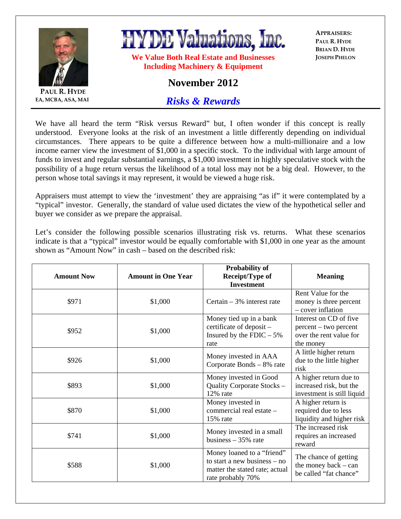

**PAUL R. HYDE EA, MCBA, ASA, MAI** **HYDE Valuations, Inc.** 

**We Value Both Real Estate and Businesses Including Machinery & Equipment** 

**APPRAISERS: PAUL R. HYDE BRIAN D. HYDE JOSEPH PHELON**

## **November 2012**

*Risks & Rewards*

We have all heard the term "Risk versus Reward" but, I often wonder if this concept is really understood. Everyone looks at the risk of an investment a little differently depending on individual circumstances. There appears to be quite a difference between how a multi-millionaire and a low income earner view the investment of \$1,000 in a specific stock. To the individual with large amount of funds to invest and regular substantial earnings, a \$1,000 investment in highly speculative stock with the possibility of a huge return versus the likelihood of a total loss may not be a big deal. However, to the person whose total savings it may represent, it would be viewed a huge risk.

Appraisers must attempt to view the 'investment' they are appraising "as if" it were contemplated by a "typical" investor. Generally, the standard of value used dictates the view of the hypothetical seller and buyer we consider as we prepare the appraisal.

Let's consider the following possible scenarios illustrating risk vs. returns. What these scenarios indicate is that a "typical" investor would be equally comfortable with \$1,000 in one year as the amount shown as "Amount Now" in cash – based on the described risk:

| <b>Amount Now</b> | <b>Amount in One Year</b> | <b>Probability of</b><br>Receipt/Type of<br><b>Investment</b>                                                       | <b>Meaning</b>                                                                           |
|-------------------|---------------------------|---------------------------------------------------------------------------------------------------------------------|------------------------------------------------------------------------------------------|
| \$971             | \$1,000                   | Certain $-3\%$ interest rate                                                                                        | Rent Value for the<br>money is three percent<br>- cover inflation                        |
| \$952             | \$1,000                   | Money tied up in a bank<br>certificate of deposit -<br>Insured by the FDIC $-5\%$<br>rate                           | Interest on CD of five.<br>percent – two percent<br>over the rent value for<br>the money |
| \$926             | \$1,000                   | Money invested in AAA<br>Corporate Bonds - 8% rate                                                                  | A little higher return<br>due to the little higher<br>risk                               |
| \$893             | \$1,000                   | Money invested in Good<br>Quality Corporate Stocks -<br>12% rate                                                    | A higher return due to<br>increased risk, but the<br>investment is still liquid          |
| \$870             | \$1,000                   | Money invested in<br>commercial real estate -<br>15% rate                                                           | A higher return is<br>required due to less<br>liquidity and higher risk                  |
| \$741             | \$1,000                   | Money invested in a small<br>business $-35%$ rate                                                                   | The increased risk<br>requires an increased<br>reward                                    |
| \$588             | \$1,000                   | Money loaned to a "friend"<br>to start a new business $-$ no<br>matter the stated rate; actual<br>rate probably 70% | The chance of getting<br>the money back $-$ can<br>be called "fat chance"                |